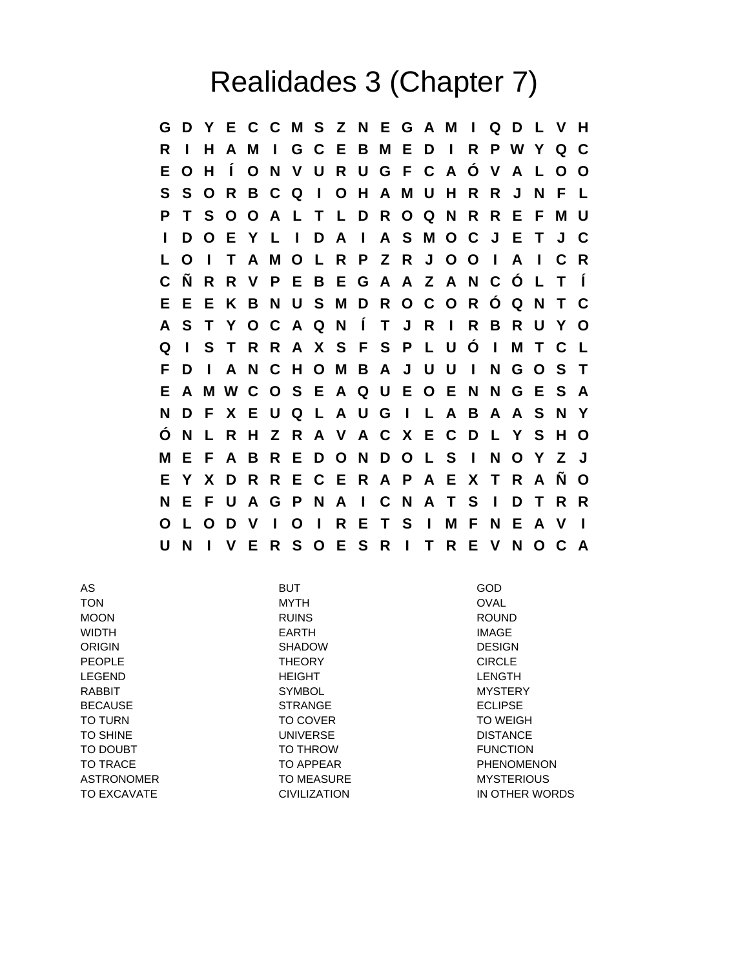## Realidades 3 (Chapter 7)

**G D Y E C C M S Z N E G A M I Q D L V H R I H A M I G C E B M E D I R P W Y Q C E O H Í O N V U R U G F C A Ó V A L O O S S O R B C Q I O H A M U H R R J N F L P T S O O A L T L D R O Q N R R E F M U I D O E Y L I D A I A S M O C J E T J C L O I T A M O L R P Z R J O O I A I C R C Ñ R R V P E B E G A A Z A N C Ó L T Í E E E K B N U S M D R O C O R Ó Q N T C A S T Y O C A Q N Í T J R I R B R U Y O Q I S T R R A X S F S P L U Ó I M T C L F D I A N C H O M B A J U U I N G O S T E A M W C O S E A Q U E O E N N G E S A N D F X E U Q L A U G I L A B A A S N Y Ó N L R H Z R A V A C X E C D L Y S H O M E F A B R E D O N D O L S I N O Y Z J E Y X D R R E C E R A P A E X T R A Ñ O N E F U A G P N A I C N A T S I D T R R O L O D V I O I R E T S I M F N E A V I U N I V E R S O E S R I T R E V N O C A**

AS BUT GOD TON MYTH OVAL MOON RUINS ROUND WIDTH EARTH IMAGE ORIGIN DESIGN SHADOW SHADOW DESIGN PEOPLE **THEORY CIRCLE** LEGEND HEIGHT LENGTH RABBIT SYMBOL MYSTERY BECAUSE STRANGE ECLIPSE TO TURN TO COVER TO COVER TO TURN TO WEIGH TO SHINE **WAS CONSIDER TO SHINE AND A REAL PROPERTY CONSTANCE DISTANCE** TO DOUBT TO THROW TO THE TO THE TO THE TO THE TO THE TO THE TOWN TO BE TO DOUBT TO TRACE TO APPEAR TO APPEAR TO TRACE ASTRONOMER TO MEASURE TO MEASURE MYSTERIOUS TO EXCAVATE CIVILIZATION IN OTHER WORDS